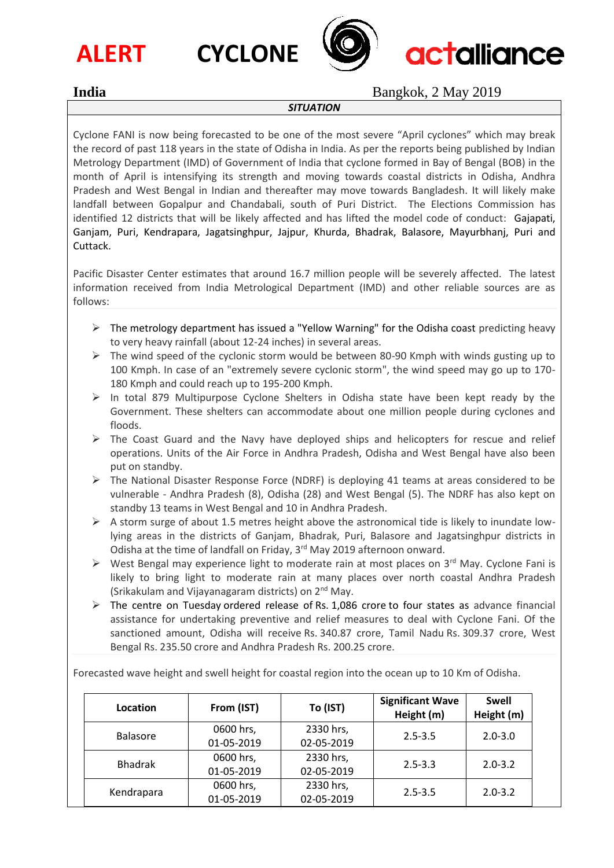







**India** Bangkok, 2 May 2019

## *SITUATION*

Cyclone FANI is now being forecasted to be one of the most severe "April cyclones" which may break the record of past 118 years in the state of Odisha in India. As per the reports being published by Indian Metrology Department (IMD) of Government of India that cyclone formed in Bay of Bengal (BOB) in the month of April is intensifying its strength and moving towards coastal districts in Odisha, Andhra Pradesh and West Bengal in Indian and thereafter may move towards Bangladesh. It will likely make landfall between Gopalpur and Chandabali, south of Puri District. The Elections Commission has identified 12 districts that will be likely affected and has lifted the model code of conduct: Gajapati, Ganjam, Puri, Kendrapara, Jagatsinghpur, Jajpur, Khurda, Bhadrak, Balasore, Mayurbhanj, Puri and Cuttack.

Pacific Disaster Center estimates that around 16.7 million people will be severely affected. The latest information received from India Metrological Department (IMD) and other reliable sources are as follows:

- $\triangleright$  The [metrology department has issued a "Yellow Warning" for the Odisha coast](https://www.ndtv.com/india-news/cyclone-fani-live-updates-navy-prepares-ships-aircraft-for-assistance-2030529) predicting heavy to very heavy rainfall (about 12-24 inches) in several areas.
- $\triangleright$  The wind speed of the cyclonic storm would be between 80-90 Kmph with winds gusting up to 100 Kmph. In case of an "extremely severe cyclonic storm", the wind speed may go up to 170- 180 Kmph and could reach up to 195-200 Kmph.
- $\triangleright$  In total 879 Multipurpose Cyclone Shelters in Odisha state have been kept ready by the Government. These shelters can accommodate about one million people during cyclones and floods.
- $\triangleright$  The Coast Guard and the Navy have deployed ships and helicopters for rescue and relief operations. Units of the Air Force in Andhra Pradesh, Odisha and West Bengal have also been put on standby.
- ➢ The National Disaster Response Force (NDRF) is deploying 41 teams at areas considered to be vulnerable - Andhra Pradesh (8), Odisha (28) and West Bengal (5). The NDRF has also kept on standby 13 teams in West Bengal and 10 in Andhra Pradesh.
- $\triangleright$  A storm surge of about 1.5 metres height above the astronomical tide is likely to inundate lowlying areas in the districts of Ganjam, Bhadrak, Puri, Balasore and Jagatsinghpur districts in Odisha at the time of landfall on Friday, 3<sup>rd</sup> May 2019 afternoon onward.
- $\triangleright$  West Bengal may experience light to moderate rain at most places on 3<sup>rd</sup> May. Cyclone Fani is likely to bring light to moderate rain at many places over north coastal Andhra Pradesh (Srikakulam and Vijayanagaram districts) on 2<sup>nd</sup> May.
- $\triangleright$  The centre on Tuesday [ordered release of](https://www.ndtv.com/india-news/cyclone-fani-centre-releases-1-086-crores-to-4-states-as-advance-funds-2030980) Rs. 1,086 crore to four states as advance financial assistance for undertaking preventive and relief measures to deal with Cyclone Fani. Of the sanctioned amount, Odisha will receive Rs. 340.87 crore, Tamil Nadu Rs. 309.37 crore, West Bengal Rs. 235.50 crore and Andhra Pradesh Rs. 200.25 crore.

Forecasted wave height and swell height for coastal region into the ocean up to 10 Km of Odisha.

| Location        | From (IST) | To (IST)   | <b>Significant Wave</b><br>Height (m) | <b>Swell</b><br>Height (m) |  |
|-----------------|------------|------------|---------------------------------------|----------------------------|--|
| <b>Balasore</b> | 0600 hrs,  | 2330 hrs,  | $2.5 - 3.5$                           | $2.0 - 3.0$                |  |
|                 | 01-05-2019 | 02-05-2019 |                                       |                            |  |
| <b>Bhadrak</b>  | 0600 hrs,  | 2330 hrs,  | $2.5 - 3.3$                           | $2.0 - 3.2$                |  |
|                 | 01-05-2019 | 02-05-2019 |                                       |                            |  |
| Kendrapara      | 0600 hrs,  | 2330 hrs,  | $2.5 - 3.5$                           | $2.0 - 3.2$                |  |
|                 | 01-05-2019 | 02-05-2019 |                                       |                            |  |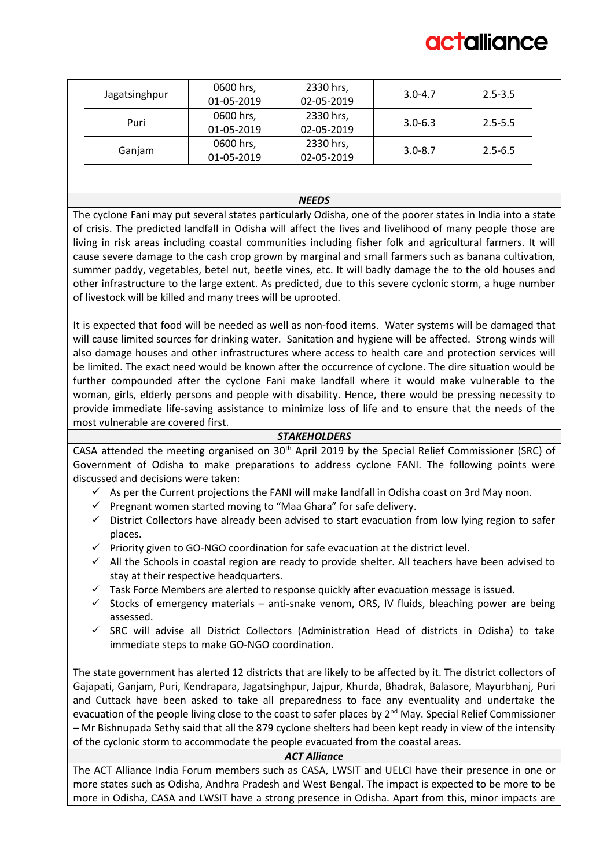# ctalliance

| Jagatsinghpur | 0600 hrs,  | 2330 hrs,  | $3.0 - 4.7$ | $2.5 - 3.5$ |
|---------------|------------|------------|-------------|-------------|
|               | 01-05-2019 | 02-05-2019 |             |             |
| Puri          | 0600 hrs,  | 2330 hrs,  | $3.0 - 6.3$ |             |
|               | 01-05-2019 | 02-05-2019 |             | $2.5 - 5.5$ |
| Ganjam        | 0600 hrs,  | 2330 hrs,  |             | $2.5 - 6.5$ |
|               | 01-05-2019 | 02-05-2019 | $3.0 - 8.7$ |             |

#### *NEEDS*

The cyclone Fani may put several states particularly Odisha, one of the poorer states in India into a state of crisis. The predicted landfall in Odisha will affect the lives and livelihood of many people those are living in risk areas including coastal communities including fisher folk and agricultural farmers. It will cause severe damage to the cash crop grown by marginal and small farmers such as banana cultivation, summer paddy, vegetables, betel nut, beetle vines, etc. It will badly damage the to the old houses and other infrastructure to the large extent. As predicted, due to this severe cyclonic storm, a huge number of livestock will be killed and many trees will be uprooted.

It is expected that food will be needed as well as non-food items. Water systems will be damaged that will cause limited sources for drinking water. Sanitation and hygiene will be affected. Strong winds will also damage houses and other infrastructures where access to health care and protection services will be limited. The exact need would be known after the occurrence of cyclone. The dire situation would be further compounded after the cyclone Fani make landfall where it would make vulnerable to the woman, girls, elderly persons and people with disability. Hence, there would be pressing necessity to provide immediate life-saving assistance to minimize loss of life and to ensure that the needs of the most vulnerable are covered first.

#### *STAKEHOLDERS*

CASA attended the meeting organised on 30<sup>th</sup> April 2019 by the Special Relief Commissioner (SRC) of Government of Odisha to make preparations to address cyclone FANI. The following points were discussed and decisions were taken:

- $\checkmark$  As per the Current projections the FANI will make landfall in Odisha coast on 3rd May noon.
- $\checkmark$  Pregnant women started moving to "Maa Ghara" for safe delivery.
- ✓ District Collectors have already been advised to start evacuation from low lying region to safer places.
- ✓ Priority given to GO-NGO coordination for safe evacuation at the district level.
- ✓ All the Schools in coastal region are ready to provide shelter. All teachers have been advised to stay at their respective headquarters.
- $\checkmark$  Task Force Members are alerted to response quickly after evacuation message is issued.
- $\checkmark$  Stocks of emergency materials anti-snake venom, ORS, IV fluids, bleaching power are being assessed.
- SRC will advise all District Collectors (Administration Head of districts in Odisha) to take immediate steps to make GO-NGO coordination.

The state government has alerted 12 districts that are likely to be affected by it. The district collectors of Gajapati, Ganjam, Puri, Kendrapara, Jagatsinghpur, Jajpur, Khurda, Bhadrak, Balasore, Mayurbhanj, Puri and Cuttack have been asked to take all preparedness to face any eventuality and undertake the evacuation of the people living close to the coast to safer places by  $2^{nd}$  May. Special Relief Commissioner – Mr Bishnupada Sethy said that all the 879 cyclone shelters had been kept ready in view of the intensity of the cyclonic storm to accommodate the people evacuated from the coastal areas.

#### *ACT Alliance*

The ACT Alliance India Forum members such as CASA, LWSIT and UELCI have their presence in one or more states such as Odisha, Andhra Pradesh and West Bengal. The impact is expected to be more to be more in Odisha, CASA and LWSIT have a strong presence in Odisha. Apart from this, minor impacts are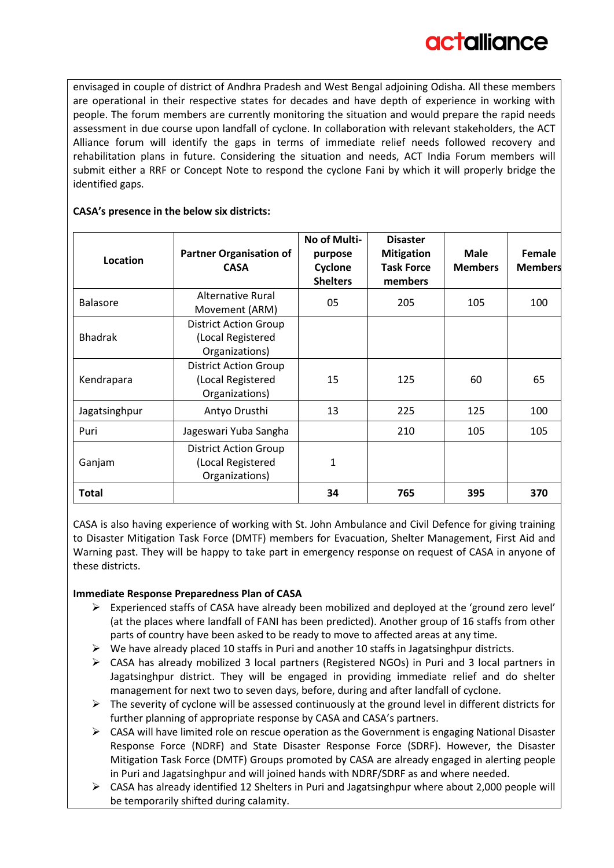envisaged in couple of district of Andhra Pradesh and West Bengal adjoining Odisha. All these members are operational in their respective states for decades and have depth of experience in working with people. The forum members are currently monitoring the situation and would prepare the rapid needs assessment in due course upon landfall of cyclone. In collaboration with relevant stakeholders, the ACT Alliance forum will identify the gaps in terms of immediate relief needs followed recovery and rehabilitation plans in future. Considering the situation and needs, ACT India Forum members will submit either a RRF or Concept Note to respond the cyclone Fani by which it will properly bridge the identified gaps.

| Location        | <b>Partner Organisation of</b><br><b>CASA</b>                       | No of Multi-<br>purpose<br>Cyclone<br><b>Shelters</b> | <b>Disaster</b><br><b>Mitigation</b><br><b>Task Force</b><br>members | <b>Male</b><br><b>Members</b> | Female<br><b>Members</b> |
|-----------------|---------------------------------------------------------------------|-------------------------------------------------------|----------------------------------------------------------------------|-------------------------------|--------------------------|
| <b>Balasore</b> | Alternative Rural<br>Movement (ARM)                                 | 05                                                    | 205                                                                  | 105                           | 100                      |
| <b>Bhadrak</b>  | <b>District Action Group</b><br>(Local Registered<br>Organizations) |                                                       |                                                                      |                               |                          |
| Kendrapara      | <b>District Action Group</b><br>(Local Registered<br>Organizations) | 15                                                    | 125                                                                  | 60                            | 65                       |
| Jagatsinghpur   | Antyo Drusthi                                                       | 13                                                    | 225                                                                  | 125                           | 100                      |
| Puri            | Jageswari Yuba Sangha                                               |                                                       | 210                                                                  | 105                           | 105                      |
| Ganjam          | <b>District Action Group</b><br>(Local Registered<br>Organizations) | 1                                                     |                                                                      |                               |                          |
| <b>Total</b>    |                                                                     | 34                                                    | 765                                                                  | 395                           | 370                      |

# **CASA's presence in the below six districts:**

CASA is also having experience of working with St. John Ambulance and Civil Defence for giving training to Disaster Mitigation Task Force (DMTF) members for Evacuation, Shelter Management, First Aid and Warning past. They will be happy to take part in emergency response on request of CASA in anyone of these districts.

# **Immediate Response Preparedness Plan of CASA**

- ➢ Experienced staffs of CASA have already been mobilized and deployed at the 'ground zero level' (at the places where landfall of FANI has been predicted). Another group of 16 staffs from other parts of country have been asked to be ready to move to affected areas at any time.
- $\triangleright$  We have already placed 10 staffs in Puri and another 10 staffs in Jagatsinghpur districts.
- $\triangleright$  CASA has already mobilized 3 local partners (Registered NGOs) in Puri and 3 local partners in Jagatsinghpur district. They will be engaged in providing immediate relief and do shelter management for next two to seven days, before, during and after landfall of cyclone.
- $\triangleright$  The severity of cyclone will be assessed continuously at the ground level in different districts for further planning of appropriate response by CASA and CASA's partners.
- ➢ CASA will have limited role on rescue operation as the Government is engaging National Disaster Response Force (NDRF) and State Disaster Response Force (SDRF). However, the Disaster Mitigation Task Force (DMTF) Groups promoted by CASA are already engaged in alerting people in Puri and Jagatsinghpur and will joined hands with NDRF/SDRF as and where needed.
- $\triangleright$  CASA has already identified 12 Shelters in Puri and Jagatsinghpur where about 2,000 people will be temporarily shifted during calamity.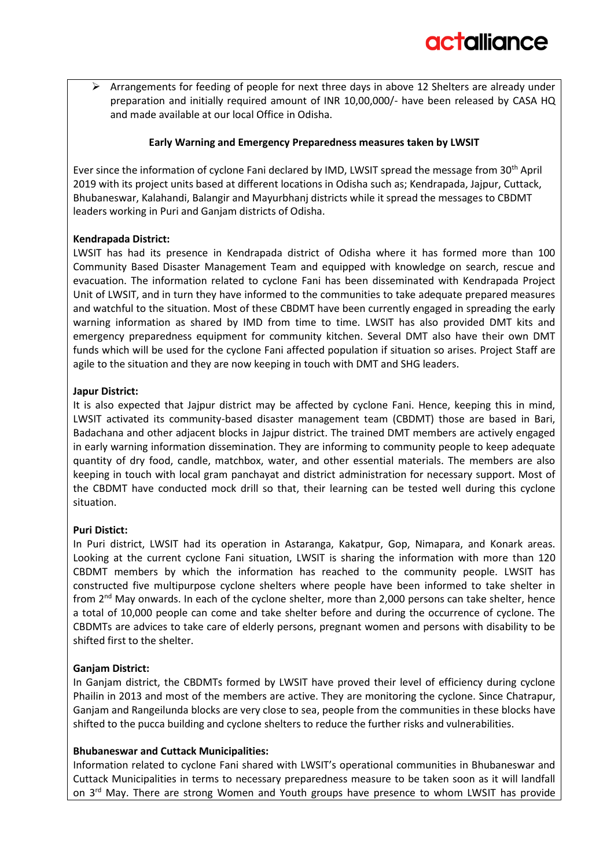$\triangleright$  Arrangements for feeding of people for next three days in above 12 Shelters are already under preparation and initially required amount of INR 10,00,000/- have been released by CASA HQ and made available at our local Office in Odisha.

# **Early Warning and Emergency Preparedness measures taken by LWSIT**

Ever since the information of cyclone Fani declared by IMD, LWSIT spread the message from 30<sup>th</sup> April 2019 with its project units based at different locations in Odisha such as; Kendrapada, Jajpur, Cuttack, Bhubaneswar, Kalahandi, Balangir and Mayurbhanj districts while it spread the messages to CBDMT leaders working in Puri and Ganjam districts of Odisha.

## **Kendrapada District:**

LWSIT has had its presence in Kendrapada district of Odisha where it has formed more than 100 Community Based Disaster Management Team and equipped with knowledge on search, rescue and evacuation. The information related to cyclone Fani has been disseminated with Kendrapada Project Unit of LWSIT, and in turn they have informed to the communities to take adequate prepared measures and watchful to the situation. Most of these CBDMT have been currently engaged in spreading the early warning information as shared by IMD from time to time. LWSIT has also provided DMT kits and emergency preparedness equipment for community kitchen. Several DMT also have their own DMT funds which will be used for the cyclone Fani affected population if situation so arises. Project Staff are agile to the situation and they are now keeping in touch with DMT and SHG leaders.

## **Japur District:**

It is also expected that Jajpur district may be affected by cyclone Fani. Hence, keeping this in mind, LWSIT activated its community-based disaster management team (CBDMT) those are based in Bari, Badachana and other adjacent blocks in Jajpur district. The trained DMT members are actively engaged in early warning information dissemination. They are informing to community people to keep adequate quantity of dry food, candle, matchbox, water, and other essential materials. The members are also keeping in touch with local gram panchayat and district administration for necessary support. Most of the CBDMT have conducted mock drill so that, their learning can be tested well during this cyclone situation.

# **Puri Distict:**

In Puri district, LWSIT had its operation in Astaranga, Kakatpur, Gop, Nimapara, and Konark areas. Looking at the current cyclone Fani situation, LWSIT is sharing the information with more than 120 CBDMT members by which the information has reached to the community people. LWSIT has constructed five multipurpose cyclone shelters where people have been informed to take shelter in from 2<sup>nd</sup> May onwards. In each of the cyclone shelter, more than 2,000 persons can take shelter, hence a total of 10,000 people can come and take shelter before and during the occurrence of cyclone. The CBDMTs are advices to take care of elderly persons, pregnant women and persons with disability to be shifted first to the shelter.

# **Ganjam District:**

In Ganjam district, the CBDMTs formed by LWSIT have proved their level of efficiency during cyclone Phailin in 2013 and most of the members are active. They are monitoring the cyclone. Since Chatrapur, Ganjam and Rangeilunda blocks are very close to sea, people from the communities in these blocks have shifted to the pucca building and cyclone shelters to reduce the further risks and vulnerabilities.

# **Bhubaneswar and Cuttack Municipalities:**

Information related to cyclone Fani shared with LWSIT's operational communities in Bhubaneswar and Cuttack Municipalities in terms to necessary preparedness measure to be taken soon as it will landfall on 3<sup>rd</sup> May. There are strong Women and Youth groups have presence to whom LWSIT has provide